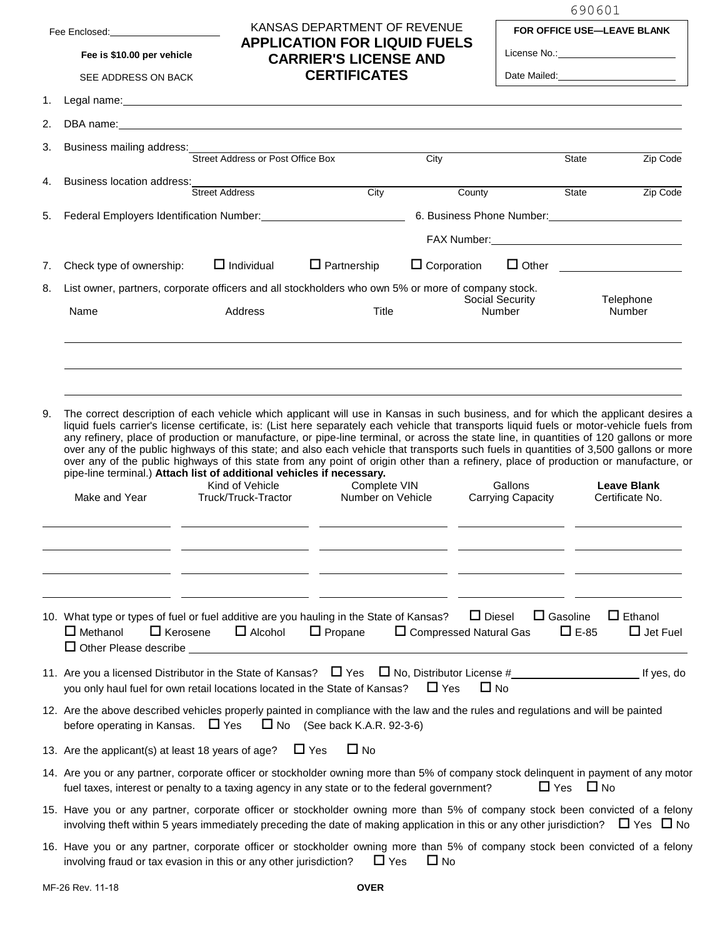| Fee Enclosed: |  |
|---------------|--|
|---------------|--|

**Fee is \$10.00 per vehicle**

## SEE ADDRESS ON BACK

## **CARRIER'S LICENSE AND**

**CERTIFICATES**

KANSAS DEPARTMENT OF REVENUE **APPLICATION FOR LIQUID FUELS** 690601

| <b>FOR OFFICE USE—LEAVE BLANK</b> |
|-----------------------------------|
|-----------------------------------|

License No.:

Date Mailed:

|  | Legal name: |  |
|--|-------------|--|
|  |             |  |

| 2. |                                                                                                                                                                                                                                                                                                                                                                                                                                                                                                                                                                                                                                                                                                                                                                                                          |                                        |                                                             |                    |                                     |                                |                                                                                                                                                                                                                                |
|----|----------------------------------------------------------------------------------------------------------------------------------------------------------------------------------------------------------------------------------------------------------------------------------------------------------------------------------------------------------------------------------------------------------------------------------------------------------------------------------------------------------------------------------------------------------------------------------------------------------------------------------------------------------------------------------------------------------------------------------------------------------------------------------------------------------|----------------------------------------|-------------------------------------------------------------|--------------------|-------------------------------------|--------------------------------|--------------------------------------------------------------------------------------------------------------------------------------------------------------------------------------------------------------------------------|
| 3. | Business mailing address:<br>Street Address or Post Office Box<br>City                                                                                                                                                                                                                                                                                                                                                                                                                                                                                                                                                                                                                                                                                                                                   |                                        |                                                             |                    |                                     |                                |                                                                                                                                                                                                                                |
|    |                                                                                                                                                                                                                                                                                                                                                                                                                                                                                                                                                                                                                                                                                                                                                                                                          |                                        |                                                             |                    |                                     | State                          | Zip Code                                                                                                                                                                                                                       |
| 4. | Business location address:                                                                                                                                                                                                                                                                                                                                                                                                                                                                                                                                                                                                                                                                                                                                                                               | <b>Street Address</b>                  | City                                                        | County             |                                     | State                          | Zip Code                                                                                                                                                                                                                       |
| 5. | Federal Employers Identification Number: Manual According Contractor Control Control Control Control Control C                                                                                                                                                                                                                                                                                                                                                                                                                                                                                                                                                                                                                                                                                           |                                        |                                                             |                    |                                     |                                |                                                                                                                                                                                                                                |
|    |                                                                                                                                                                                                                                                                                                                                                                                                                                                                                                                                                                                                                                                                                                                                                                                                          |                                        |                                                             |                    |                                     |                                | FAX Number: National Accounts and Accounts and Accounts and Accounts are also accounts and Accounts are also accounts and Accounts are also accounts and Accounts are also accounts and Accounts are also accounts and Account |
|    |                                                                                                                                                                                                                                                                                                                                                                                                                                                                                                                                                                                                                                                                                                                                                                                                          |                                        |                                                             |                    |                                     |                                |                                                                                                                                                                                                                                |
| 7. | Check type of ownership:                                                                                                                                                                                                                                                                                                                                                                                                                                                                                                                                                                                                                                                                                                                                                                                 | $\Box$ Individual                      | $\Box$ Partnership                                          | $\Box$ Corporation |                                     |                                | □ Other <u>_________________</u>                                                                                                                                                                                               |
| 8. | List owner, partners, corporate officers and all stockholders who own 5% or more of company stock.                                                                                                                                                                                                                                                                                                                                                                                                                                                                                                                                                                                                                                                                                                       |                                        |                                                             |                    | Social Security                     |                                | Telephone                                                                                                                                                                                                                      |
|    | Name                                                                                                                                                                                                                                                                                                                                                                                                                                                                                                                                                                                                                                                                                                                                                                                                     | Address                                | <b>Title</b>                                                |                    | <b>Number</b>                       |                                | Number                                                                                                                                                                                                                         |
|    |                                                                                                                                                                                                                                                                                                                                                                                                                                                                                                                                                                                                                                                                                                                                                                                                          |                                        |                                                             |                    |                                     |                                |                                                                                                                                                                                                                                |
| 9. | The correct description of each vehicle which applicant will use in Kansas in such business, and for which the applicant desires a<br>liquid fuels carrier's license certificate, is: (List here separately each vehicle that transports liquid fuels or motor-vehicle fuels from<br>any refinery, place of production or manufacture, or pipe-line terminal, or across the state line, in quantities of 120 gallons or more<br>over any of the public highways of this state; and also each vehicle that transports such fuels in quantities of 3,500 gallons or more<br>over any of the public highways of this state from any point of origin other than a refinery, place of production or manufacture, or<br>pipe-line terminal.) Attach list of additional vehicles if necessary.<br>Make and Year | Kind of Vehicle<br>Truck/Truck-Tractor | Complete VIN<br>Number on Vehicle                           |                    | Gallons<br><b>Carrying Capacity</b> |                                | <b>Leave Blank</b><br>Certificate No.                                                                                                                                                                                          |
|    |                                                                                                                                                                                                                                                                                                                                                                                                                                                                                                                                                                                                                                                                                                                                                                                                          |                                        |                                                             |                    |                                     |                                |                                                                                                                                                                                                                                |
|    | 10. What type or types of fuel or fuel additive are you hauling in the State of Kansas?<br>$\Box$ Methanol $\Box$ Kerosene<br>$\Box$ Other Please describe                                                                                                                                                                                                                                                                                                                                                                                                                                                                                                                                                                                                                                               |                                        | $\Box$ Alcohol $\Box$ Propane $\Box$ Compressed Natural Gas |                    | $\Box$ Diesel                       | $\Box$ Gasoline<br>$\Box$ E-85 | $\Box$ Ethanol<br>$\Box$ Jet Fuel                                                                                                                                                                                              |
|    | 11. Are you a licensed Distributor in the State of Kansas? $\Box$ Yes $\Box$ No, Distributor License #<br>you only haul fuel for own retail locations located in the State of Kansas?                                                                                                                                                                                                                                                                                                                                                                                                                                                                                                                                                                                                                    |                                        |                                                             | $\Box$ Yes         | $\Box$ No                           |                                |                                                                                                                                                                                                                                |
|    | 12. Are the above described vehicles properly painted in compliance with the law and the rules and regulations and will be painted<br>before operating in Kansas. $\Box$ Yes                                                                                                                                                                                                                                                                                                                                                                                                                                                                                                                                                                                                                             |                                        | $\Box$ No (See back K.A.R. 92-3-6)                          |                    |                                     |                                |                                                                                                                                                                                                                                |
|    | 13. Are the applicant(s) at least 18 years of age?                                                                                                                                                                                                                                                                                                                                                                                                                                                                                                                                                                                                                                                                                                                                                       |                                        | $\Box$ Yes<br>$\Box$ No                                     |                    |                                     |                                |                                                                                                                                                                                                                                |
|    | 14. Are you or any partner, corporate officer or stockholder owning more than 5% of company stock delinquent in payment of any motor<br>fuel taxes, interest or penalty to a taxing agency in any state or to the federal government?                                                                                                                                                                                                                                                                                                                                                                                                                                                                                                                                                                    |                                        |                                                             |                    |                                     | $\Box$ Yes<br>$\square$ No     |                                                                                                                                                                                                                                |
|    | 15. Have you or any partner, corporate officer or stockholder owning more than 5% of company stock been convicted of a felony<br>involving theft within 5 years immediately preceding the date of making application in this or any other jurisdiction? $\Box$ Yes $\Box$ No                                                                                                                                                                                                                                                                                                                                                                                                                                                                                                                             |                                        |                                                             |                    |                                     |                                |                                                                                                                                                                                                                                |
|    | 16. Have you or any partner, corporate officer or stockholder owning more than 5% of company stock been convicted of a felony<br>involving fraud or tax evasion in this or any other jurisdiction?                                                                                                                                                                                                                                                                                                                                                                                                                                                                                                                                                                                                       |                                        | $\Box$ Yes                                                  | $\Box$ No          |                                     |                                |                                                                                                                                                                                                                                |